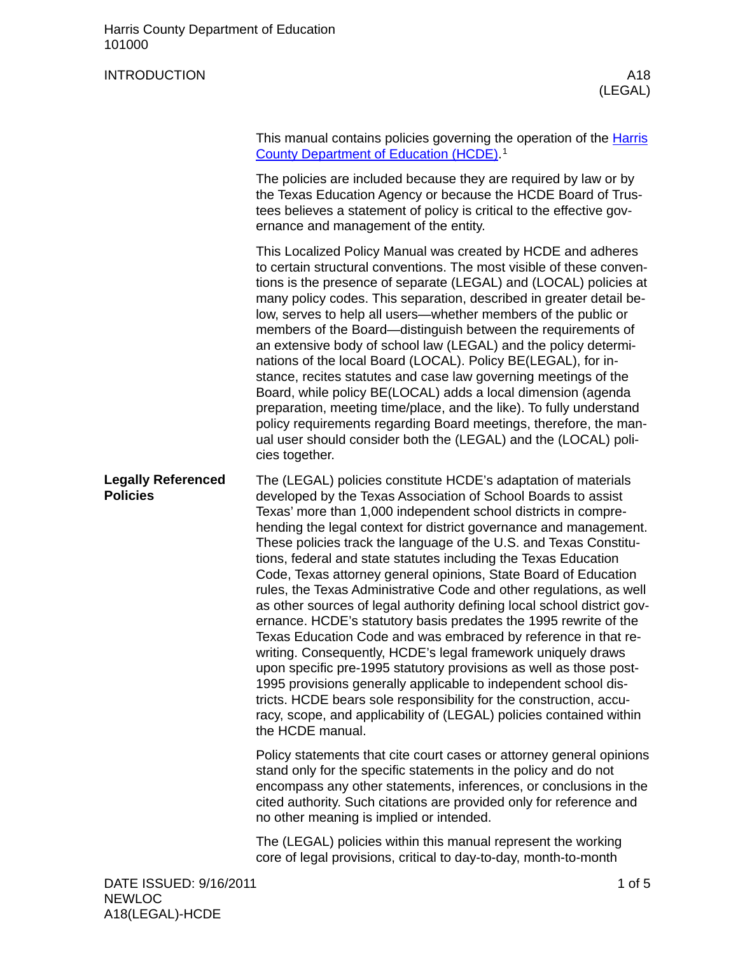## INTRODUCTION A18

(LEGAL)

| This manual contains policies governing the operation of the Harris |
|---------------------------------------------------------------------|
| County Department of Education (HCDE) <sup>1</sup>                  |

The policies are included because they are required by law or by the Texas Education Agency or because the HCDE Board of Trustees believes a statement of policy is critical to the effective governance and management of the entity.

This Localized Policy Manual was created by HCDE and adheres to certain structural conventions. The most visible of these conventions is the presence of separate (LEGAL) and (LOCAL) policies at many policy codes. This separation, described in greater detail below, serves to help all users—whether members of the public or members of the Board—distinguish between the requirements of an extensive body of school law (LEGAL) and the policy determinations of the local Board (LOCAL). Policy BE(LEGAL), for instance, recites statutes and case law governing meetings of the Board, while policy BE(LOCAL) adds a local dimension (agenda preparation, meeting time/place, and the like). To fully understand policy requirements regarding Board meetings, therefore, the manual user should consider both the (LEGAL) and the (LOCAL) policies together.

The (LEGAL) policies constitute HCDE's adaptation of materials developed by the Texas Association of School Boards to assist Texas' more than 1,000 independent school districts in comprehending the legal context for district governance and management. These policies track the language of the U.S. and Texas Constitutions, federal and state statutes including the Texas Education Code, Texas attorney general opinions, State Board of Education rules, the Texas Administrative Code and other regulations, as well as other sources of legal authority defining local school district governance. HCDE's statutory basis predates the 1995 rewrite of the Texas Education Code and was embraced by reference in that rewriting. Consequently, HCDE's legal framework uniquely draws upon specific pre-1995 statutory provisions as well as those post-1995 provisions generally applicable to independent school districts. HCDE bears sole responsibility for the construction, accuracy, scope, and applicability of (LEGAL) policies contained within the HCDE manual. **Legally Referenced Policies**

> Policy statements that cite court cases or attorney general opinions stand only for the specific statements in the policy and do not encompass any other statements, inferences, or conclusions in the cited authority. Such citations are provided only for reference and no other meaning is implied or intended.

The (LEGAL) policies within this manual represent the working core of legal provisions, critical to day-to-day, month-to-month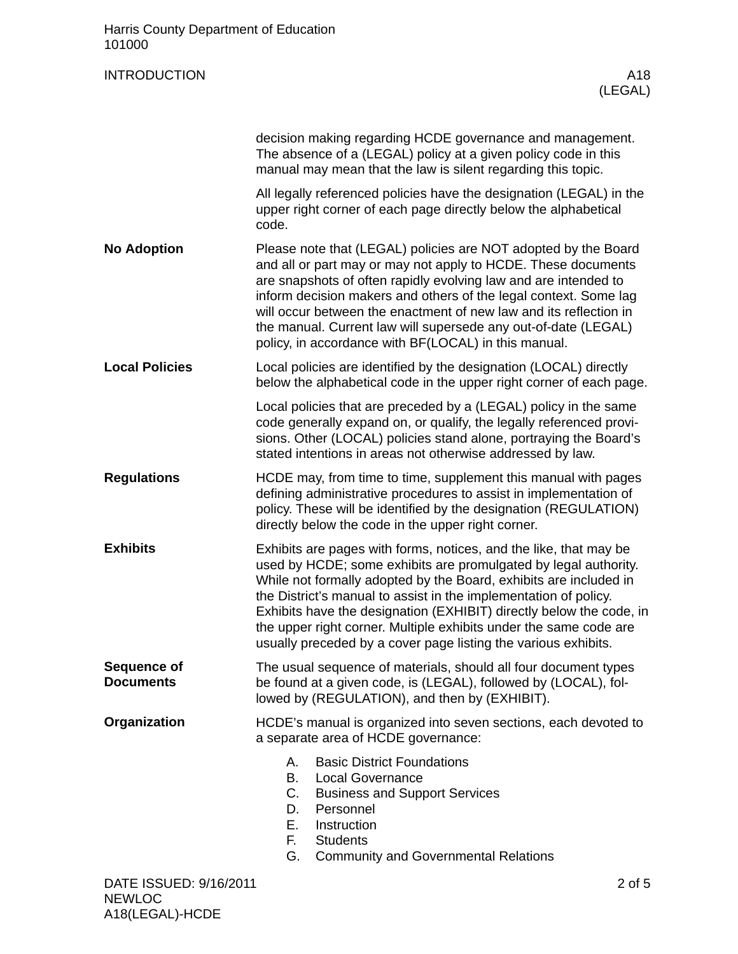| Harris County Department of Education<br>101000 |                                                                                                                                                                                                                                                                                                                                                                                                                                                                                             |  |  |
|-------------------------------------------------|---------------------------------------------------------------------------------------------------------------------------------------------------------------------------------------------------------------------------------------------------------------------------------------------------------------------------------------------------------------------------------------------------------------------------------------------------------------------------------------------|--|--|
| <b>INTRODUCTION</b>                             | A18<br>(LEGAL)                                                                                                                                                                                                                                                                                                                                                                                                                                                                              |  |  |
|                                                 | decision making regarding HCDE governance and management.<br>The absence of a (LEGAL) policy at a given policy code in this<br>manual may mean that the law is silent regarding this topic.                                                                                                                                                                                                                                                                                                 |  |  |
|                                                 | All legally referenced policies have the designation (LEGAL) in the<br>upper right corner of each page directly below the alphabetical<br>code.                                                                                                                                                                                                                                                                                                                                             |  |  |
| <b>No Adoption</b>                              | Please note that (LEGAL) policies are NOT adopted by the Board<br>and all or part may or may not apply to HCDE. These documents<br>are snapshots of often rapidly evolving law and are intended to<br>inform decision makers and others of the legal context. Some lag<br>will occur between the enactment of new law and its reflection in<br>the manual. Current law will supersede any out-of-date (LEGAL)<br>policy, in accordance with BF(LOCAL) in this manual.                       |  |  |
| <b>Local Policies</b>                           | Local policies are identified by the designation (LOCAL) directly<br>below the alphabetical code in the upper right corner of each page.                                                                                                                                                                                                                                                                                                                                                    |  |  |
|                                                 | Local policies that are preceded by a (LEGAL) policy in the same<br>code generally expand on, or qualify, the legally referenced provi-<br>sions. Other (LOCAL) policies stand alone, portraying the Board's<br>stated intentions in areas not otherwise addressed by law.                                                                                                                                                                                                                  |  |  |
| <b>Regulations</b>                              | HCDE may, from time to time, supplement this manual with pages<br>defining administrative procedures to assist in implementation of<br>policy. These will be identified by the designation (REGULATION)<br>directly below the code in the upper right corner.                                                                                                                                                                                                                               |  |  |
| <b>Exhibits</b>                                 | Exhibits are pages with forms, notices, and the like, that may be<br>used by HCDE; some exhibits are promulgated by legal authority.<br>While not formally adopted by the Board, exhibits are included in<br>the District's manual to assist in the implementation of policy.<br>Exhibits have the designation (EXHIBIT) directly below the code, in<br>the upper right corner. Multiple exhibits under the same code are<br>usually preceded by a cover page listing the various exhibits. |  |  |
| Sequence of<br><b>Documents</b>                 | The usual sequence of materials, should all four document types<br>be found at a given code, is (LEGAL), followed by (LOCAL), fol-<br>lowed by (REGULATION), and then by (EXHIBIT).                                                                                                                                                                                                                                                                                                         |  |  |
| Organization                                    | HCDE's manual is organized into seven sections, each devoted to<br>a separate area of HCDE governance:                                                                                                                                                                                                                                                                                                                                                                                      |  |  |
|                                                 | <b>Basic District Foundations</b><br>А.<br><b>Local Governance</b><br>В.<br>C.<br><b>Business and Support Services</b><br>Personnel<br>D.<br>Е.<br>Instruction<br>F.<br><b>Students</b><br>G.<br><b>Community and Governmental Relations</b>                                                                                                                                                                                                                                                |  |  |
| DATE ISSUED: 9/16/2011<br><b>NEWLOC</b>         | $2$ of $5$                                                                                                                                                                                                                                                                                                                                                                                                                                                                                  |  |  |

A18(LEGAL)-HCDE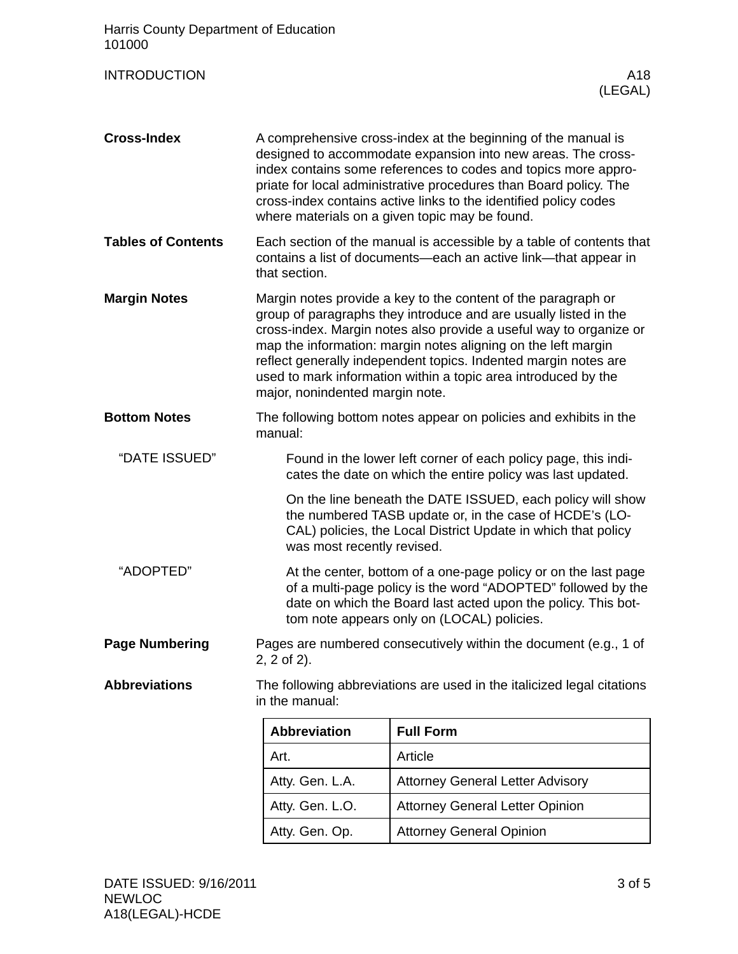<span id="page-2-0"></span>

| Harris County Department of Education<br>101000 |                                                                                                                                                                                                                                                                                                                                                                                                                                                  |                                         |  |
|-------------------------------------------------|--------------------------------------------------------------------------------------------------------------------------------------------------------------------------------------------------------------------------------------------------------------------------------------------------------------------------------------------------------------------------------------------------------------------------------------------------|-----------------------------------------|--|
| <b>INTRODUCTION</b>                             |                                                                                                                                                                                                                                                                                                                                                                                                                                                  | A18<br>(LEGAL)                          |  |
| <b>Cross-Index</b>                              | A comprehensive cross-index at the beginning of the manual is<br>designed to accommodate expansion into new areas. The cross-<br>index contains some references to codes and topics more appro-<br>priate for local administrative procedures than Board policy. The<br>cross-index contains active links to the identified policy codes<br>where materials on a given topic may be found.                                                       |                                         |  |
| <b>Tables of Contents</b>                       | Each section of the manual is accessible by a table of contents that<br>contains a list of documents—each an active link—that appear in<br>that section.                                                                                                                                                                                                                                                                                         |                                         |  |
| <b>Margin Notes</b>                             | Margin notes provide a key to the content of the paragraph or<br>group of paragraphs they introduce and are usually listed in the<br>cross-index. Margin notes also provide a useful way to organize or<br>map the information: margin notes aligning on the left margin<br>reflect generally independent topics. Indented margin notes are<br>used to mark information within a topic area introduced by the<br>major, nonindented margin note. |                                         |  |
| <b>Bottom Notes</b>                             | The following bottom notes appear on policies and exhibits in the<br>manual:                                                                                                                                                                                                                                                                                                                                                                     |                                         |  |
| "DATE ISSUED"                                   | Found in the lower left corner of each policy page, this indi-<br>cates the date on which the entire policy was last updated.                                                                                                                                                                                                                                                                                                                    |                                         |  |
|                                                 | On the line beneath the DATE ISSUED, each policy will show<br>the numbered TASB update or, in the case of HCDE's (LO-<br>CAL) policies, the Local District Update in which that policy<br>was most recently revised.                                                                                                                                                                                                                             |                                         |  |
| "ADOPTED"                                       | At the center, bottom of a one-page policy or on the last page<br>of a multi-page policy is the word "ADOPTED" followed by the<br>date on which the Board last acted upon the policy. This bot-<br>tom note appears only on (LOCAL) policies.                                                                                                                                                                                                    |                                         |  |
| <b>Page Numbering</b>                           | Pages are numbered consecutively within the document (e.g., 1 of<br>$2, 2$ of $2$ ).                                                                                                                                                                                                                                                                                                                                                             |                                         |  |
| <b>Abbreviations</b>                            | The following abbreviations are used in the italicized legal citations<br>in the manual:                                                                                                                                                                                                                                                                                                                                                         |                                         |  |
|                                                 | <b>Abbreviation</b>                                                                                                                                                                                                                                                                                                                                                                                                                              | <b>Full Form</b>                        |  |
|                                                 | Art.                                                                                                                                                                                                                                                                                                                                                                                                                                             | Article                                 |  |
|                                                 | Atty. Gen. L.A.                                                                                                                                                                                                                                                                                                                                                                                                                                  | <b>Attorney General Letter Advisory</b> |  |
|                                                 | Atty. Gen. L.O.                                                                                                                                                                                                                                                                                                                                                                                                                                  | <b>Attorney General Letter Opinion</b>  |  |
|                                                 | Atty. Gen. Op.                                                                                                                                                                                                                                                                                                                                                                                                                                   | <b>Attorney General Opinion</b>         |  |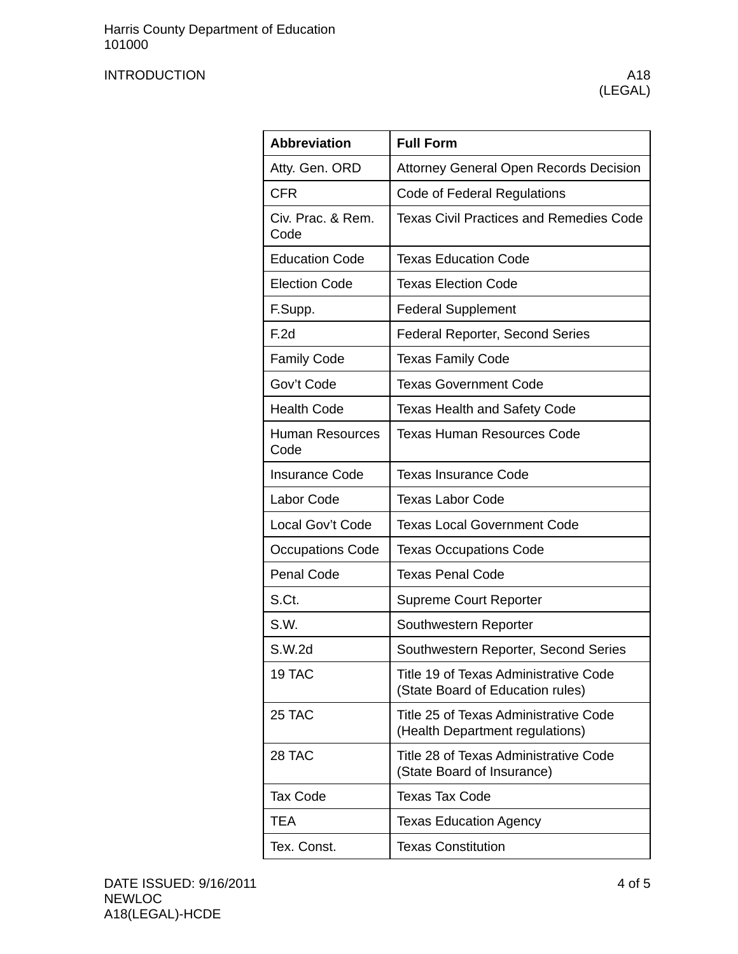## INTRODUCTION A18

| <b>Abbreviation</b>       | <b>Full Form</b>                                                          |  |  |
|---------------------------|---------------------------------------------------------------------------|--|--|
| Atty. Gen. ORD            | Attorney General Open Records Decision                                    |  |  |
| <b>CFR</b>                | Code of Federal Regulations                                               |  |  |
| Civ. Prac. & Rem.<br>Code | <b>Texas Civil Practices and Remedies Code</b>                            |  |  |
| <b>Education Code</b>     | <b>Texas Education Code</b>                                               |  |  |
| <b>Election Code</b>      | <b>Texas Election Code</b>                                                |  |  |
| F.Supp.                   | <b>Federal Supplement</b>                                                 |  |  |
| F.2d                      | <b>Federal Reporter, Second Series</b>                                    |  |  |
| <b>Family Code</b>        | <b>Texas Family Code</b>                                                  |  |  |
| Gov't Code                | <b>Texas Government Code</b>                                              |  |  |
| <b>Health Code</b>        | <b>Texas Health and Safety Code</b>                                       |  |  |
| Human Resources<br>Code   | <b>Texas Human Resources Code</b>                                         |  |  |
| <b>Insurance Code</b>     | <b>Texas Insurance Code</b>                                               |  |  |
| Labor Code                | <b>Texas Labor Code</b>                                                   |  |  |
| Local Gov't Code          | <b>Texas Local Government Code</b>                                        |  |  |
| <b>Occupations Code</b>   | <b>Texas Occupations Code</b>                                             |  |  |
| <b>Penal Code</b>         | <b>Texas Penal Code</b>                                                   |  |  |
| S.Ct.                     | <b>Supreme Court Reporter</b>                                             |  |  |
| S.W.                      | Southwestern Reporter                                                     |  |  |
| S.W.2d                    | Southwestern Reporter, Second Series                                      |  |  |
| 19 TAC                    | Title 19 of Texas Administrative Code<br>(State Board of Education rules) |  |  |
| 25 TAC                    | Title 25 of Texas Administrative Code<br>(Health Department regulations)  |  |  |
| 28 TAC                    | Title 28 of Texas Administrative Code<br>(State Board of Insurance)       |  |  |
| <b>Tax Code</b>           | <b>Texas Tax Code</b>                                                     |  |  |
| <b>TEA</b>                | <b>Texas Education Agency</b>                                             |  |  |
| Tex. Const.               | <b>Texas Constitution</b>                                                 |  |  |